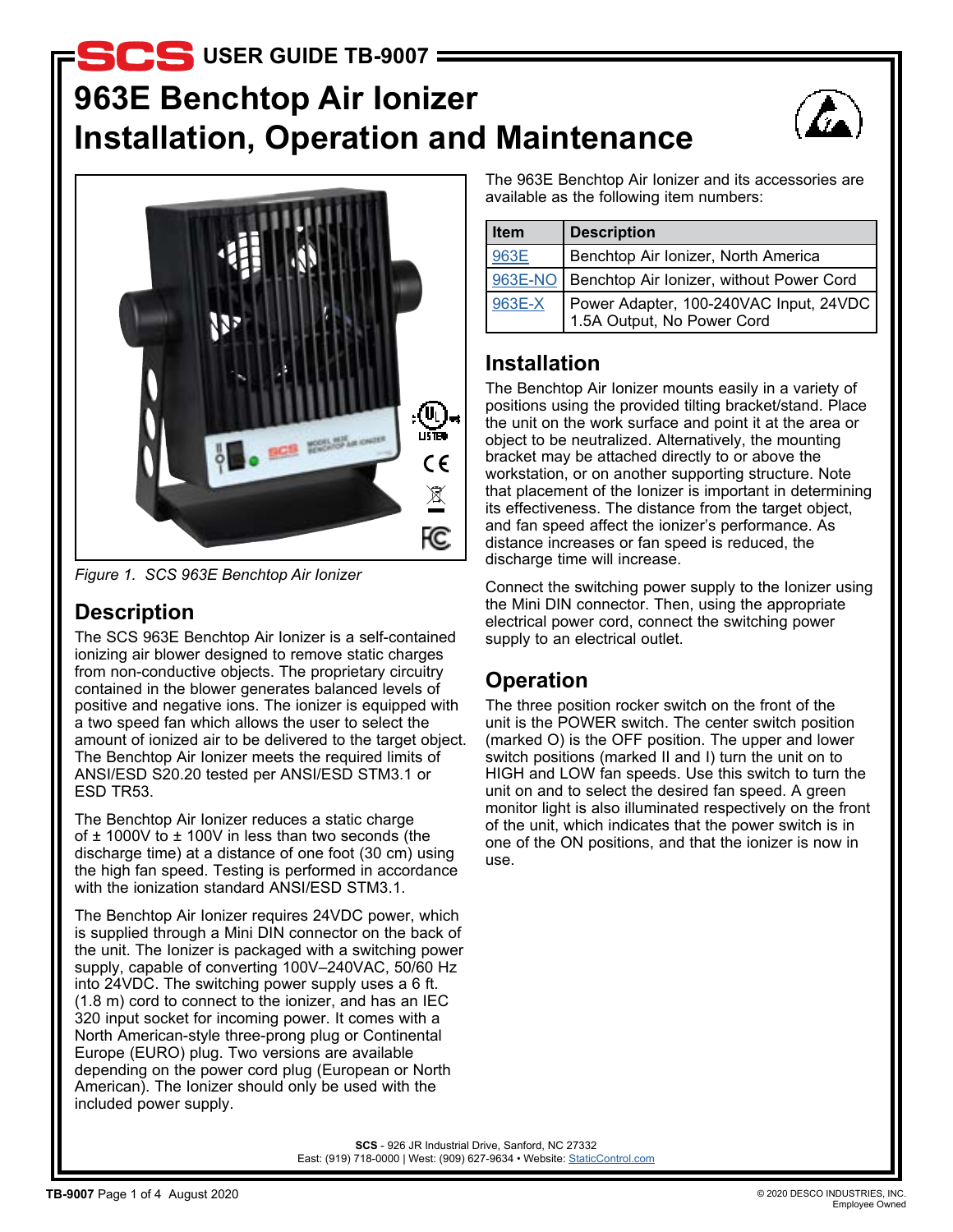# **963E Benchtop Air Ionizer Installation, Operation and Maintenance b** USER GUIDE TB-9007





*Figure 1. SCS 963E Benchtop Air Ionizer*

## **Description**

The SCS 963E Benchtop Air Ionizer is a self-contained ionizing air blower designed to remove static charges from non-conductive objects. The proprietary circuitry contained in the blower generates balanced levels of positive and negative ions. The ionizer is equipped with a two speed fan which allows the user to select the amount of ionized air to be delivered to the target object. The Benchtop Air Ionizer meets the required limits of ANSI/ESD S20.20 tested per ANSI/ESD STM3.1 or ESD TR53.

The Benchtop Air Ionizer reduces a static charge of  $\pm$  1000V to  $\pm$  100V in less than two seconds (the discharge time) at a distance of one foot (30 cm) using the high fan speed. Testing is performed in accordance with the ionization standard ANSI/ESD STM3.1.

The Benchtop Air Ionizer requires 24VDC power, which is supplied through a Mini DIN connector on the back of the unit. The Ionizer is packaged with a switching power supply, capable of converting 100V–240VAC, 50/60 Hz into 24VDC. The switching power supply uses a 6 ft. (1.8 m) cord to connect to the ionizer, and has an IEC 320 input socket for incoming power. It comes with a North American-style three-prong plug or Continental Europe (EURO) plug. Two versions are available depending on the power cord plug (European or North American). The Ionizer should only be used with the included power supply.

The 963E Benchtop Air Ionizer and its accessories are available as the following item numbers:

| <b>Item</b> | <b>Description</b>                                                   |
|-------------|----------------------------------------------------------------------|
| 963E        | Benchtop Air Ionizer, North America                                  |
|             | 963E-NO   Benchtop Air Ionizer, without Power Cord                   |
| 963E-X      | Power Adapter, 100-240VAC Input, 24VDC<br>1.5A Output, No Power Cord |

### **Installation**

The Benchtop Air Ionizer mounts easily in a variety of positions using the provided tilting bracket/stand. Place the unit on the work surface and point it at the area or object to be neutralized. Alternatively, the mounting bracket may be attached directly to or above the workstation, or on another supporting structure. Note that placement of the Ionizer is important in determining its effectiveness. The distance from the target object, and fan speed affect the ionizer's performance. As distance increases or fan speed is reduced, the discharge time will increase.

Connect the switching power supply to the Ionizer using the Mini DIN connector. Then, using the appropriate electrical power cord, connect the switching power supply to an electrical outlet.

## **Operation**

The three position rocker switch on the front of the unit is the POWER switch. The center switch position (marked O) is the OFF position. The upper and lower switch positions (marked II and I) turn the unit on to HIGH and LOW fan speeds. Use this switch to turn the unit on and to select the desired fan speed. A green monitor light is also illuminated respectively on the front of the unit, which indicates that the power switch is in one of the ON positions, and that the ionizer is now in use.

**SCS** - 926 JR Industrial Drive, Sanford, NC 27332 East: (919) 718-0000 | West: (909) 627-9634 • Website: StaticControl.com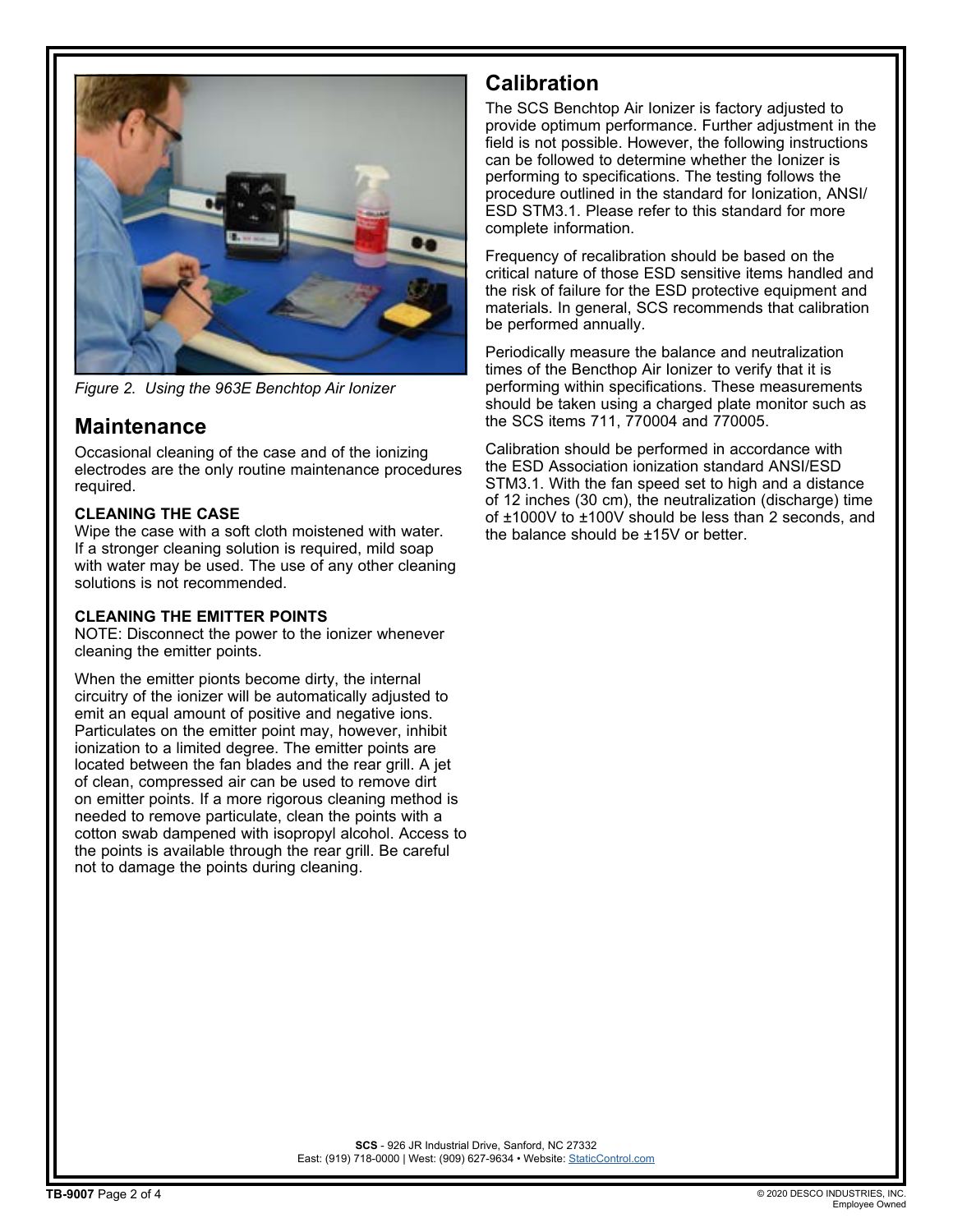

*Figure 2. Using the 963E Benchtop Air Ionizer*

### **Maintenance**

Occasional cleaning of the case and of the ionizing electrodes are the only routine maintenance procedures required.

#### **CLEANING THE CASE**

Wipe the case with a soft cloth moistened with water. If a stronger cleaning solution is required, mild soap with water may be used. The use of any other cleaning solutions is not recommended.

#### **CLEANING THE EMITTER POINTS**

NOTE: Disconnect the power to the ionizer whenever cleaning the emitter points.

When the emitter pionts become dirty, the internal circuitry of the ionizer will be automatically adjusted to emit an equal amount of positive and negative ions. Particulates on the emitter point may, however, inhibit ionization to a limited degree. The emitter points are located between the fan blades and the rear grill. A jet of clean, compressed air can be used to remove dirt on emitter points. If a more rigorous cleaning method is needed to remove particulate, clean the points with a cotton swab dampened with isopropyl alcohol. Access to the points is available through the rear grill. Be careful not to damage the points during cleaning.

### **Calibration**

The SCS Benchtop Air Ionizer is factory adjusted to provide optimum performance. Further adjustment in the field is not possible. However, the following instructions can be followed to determine whether the Ionizer is performing to specifications. The testing follows the procedure outlined in the standard for Ionization, ANSI/ ESD STM3.1. Please refer to this standard for more complete information.

Frequency of recalibration should be based on the critical nature of those ESD sensitive items handled and the risk of failure for the ESD protective equipment and materials. In general, SCS recommends that calibration be performed annually.

Periodically measure the balance and neutralization times of the Bencthop Air Ionizer to verify that it is performing within specifications. These measurements should be taken using a charged plate monitor such as the SCS items 711, 770004 and 770005.

Calibration should be performed in accordance with the ESD Association ionization standard ANSI/ESD STM3.1. With the fan speed set to high and a distance of 12 inches (30 cm), the neutralization (discharge) time of ±1000V to ±100V should be less than 2 seconds, and the balance should be ±15V or better.

**SCS** - 926 JR Industrial Drive, Sanford, NC 27332 East: (919) 718-0000 | West: (909) 627-9634 • Website: StaticControl.com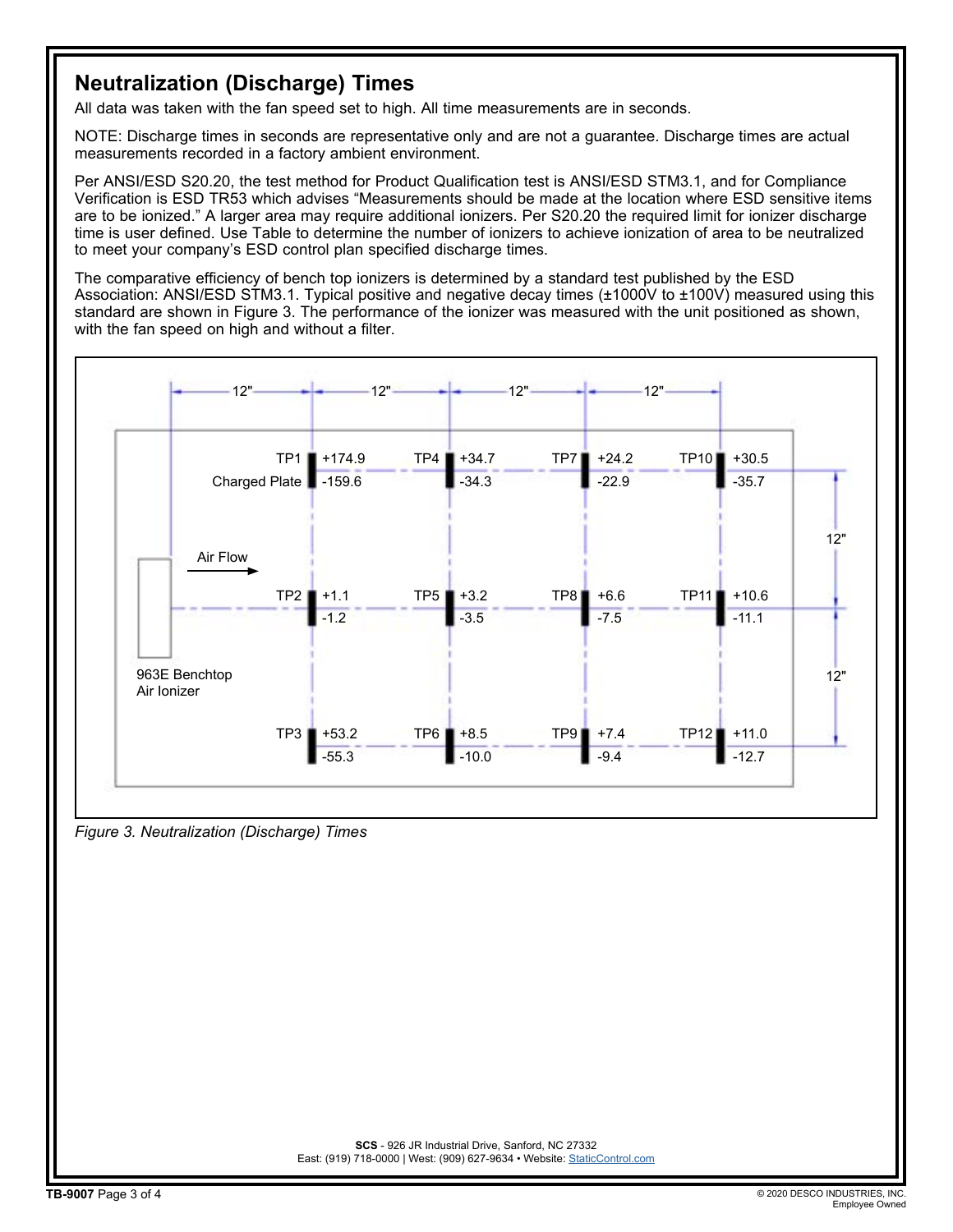## **Neutralization (Discharge) Times**

All data was taken with the fan speed set to high. All time measurements are in seconds.

NOTE: Discharge times in seconds are representative only and are not a guarantee. Discharge times are actual measurements recorded in a factory ambient environment.

Per ANSI/ESD S20.20, the test method for Product Qualification test is ANSI/ESD STM3.1, and for Compliance Verification is ESD TR53 which advises "Measurements should be made at the location where ESD sensitive items are to be ionized." A larger area may require additional ionizers. Per S20.20 the required limit for ionizer discharge time is user defined. Use Table to determine the number of ionizers to achieve ionization of area to be neutralized to meet your company's ESD control plan specified discharge times.

The comparative efficiency of bench top ionizers is determined by a standard test published by the ESD Association: ANSI/ESD STM3.1. Typical positive and negative decay times (±1000V to ±100V) measured using this standard are shown in Figure 3. The performance of the ionizer was measured with the unit positioned as shown, with the fan speed on high and without a filter.



*Figure 3. Neutralization (Discharge) Times*

**SCS** - 926 JR Industrial Drive, Sanford, NC 27332 East: (919) 718-0000 | West: (909) 627-9634 • Website: StaticControl.com